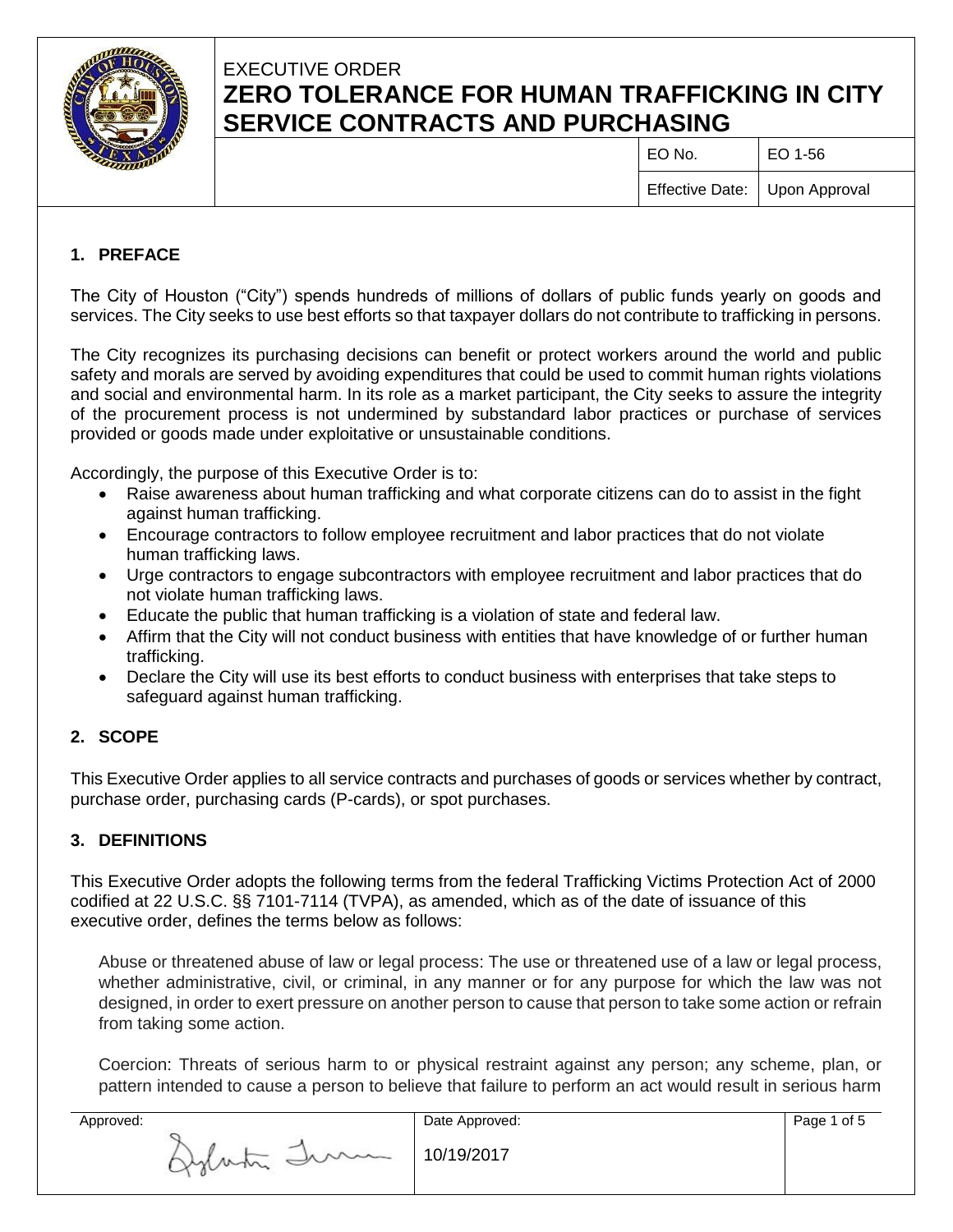

# EXECUTIVE ORDER **ZERO TOLERANCE FOR HUMAN TRAFFICKING IN CITY SERVICE CONTRACTS AND PURCHASING**

| EO No.                          | $ $ EO 1-56 |
|---------------------------------|-------------|
| Effective Date:   Upon Approval |             |

## **1. PREFACE**

The City of Houston ("City") spends hundreds of millions of dollars of public funds yearly on goods and services. The City seeks to use best efforts so that taxpayer dollars do not contribute to trafficking in persons.

The City recognizes its purchasing decisions can benefit or protect workers around the world and public safety and morals are served by avoiding expenditures that could be used to commit human rights violations and social and environmental harm. In its role as a market participant, the City seeks to assure the integrity of the procurement process is not undermined by substandard labor practices or purchase of services provided or goods made under exploitative or unsustainable conditions.

Accordingly, the purpose of this Executive Order is to:

- Raise awareness about human trafficking and what corporate citizens can do to assist in the fight against human trafficking.
- Encourage contractors to follow employee recruitment and labor practices that do not violate human trafficking laws.
- Urge contractors to engage subcontractors with employee recruitment and labor practices that do not violate human trafficking laws.
- Educate the public that human trafficking is a violation of state and federal law.
- Affirm that the City will not conduct business with entities that have knowledge of or further human trafficking.
- Declare the City will use its best efforts to conduct business with enterprises that take steps to safeguard against human trafficking.

### **2. SCOPE**

This Executive Order applies to all service contracts and purchases of goods or services whether by contract, purchase order, purchasing cards (P-cards), or spot purchases.

### **3. DEFINITIONS**

This Executive Order adopts the following terms from the federal Trafficking Victims Protection Act of 2000 codified at 22 U.S.C. §§ 7101-7114 (TVPA), as amended, which as of the date of issuance of this executive order, defines the terms below as follows:

Abuse or threatened abuse of law or legal process: The use or threatened use of a law or legal process, whether administrative, civil, or criminal, in any manner or for any purpose for which the law was not designed, in order to exert pressure on another person to cause that person to take some action or refrain from taking some action.

Coercion: Threats of serious harm to or physical restraint against any person; any scheme, plan, or pattern intended to cause a person to believe that failure to perform an act would result in serious harm

| Approved: |                                                 | Date Approved: | Page 1 of 5 |
|-----------|-------------------------------------------------|----------------|-------------|
|           | Imm<br>the property of the control of<br>Jylan. | 10/19/2017     |             |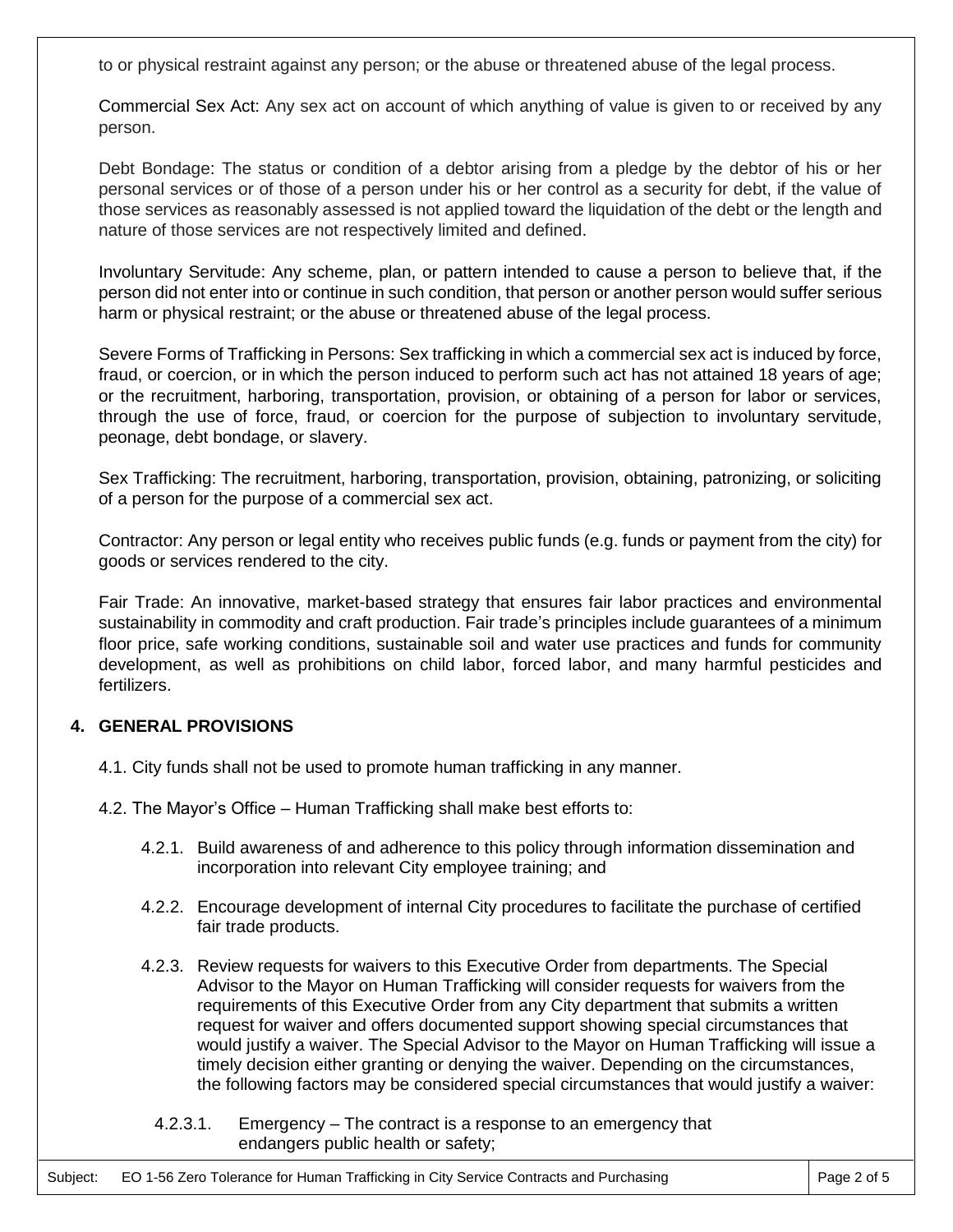to or physical restraint against any person; or the abuse or threatened abuse of the legal process.

Commercial Sex Act: Any sex act on account of which anything of value is given to or received by any person.

Debt Bondage: The status or condition of a debtor arising from a pledge by the debtor of his or her personal services or of those of a person under his or her control as a security for debt, if the value of those services as reasonably assessed is not applied toward the liquidation of the debt or the length and nature of those services are not respectively limited and defined.

Involuntary Servitude: Any scheme, plan, or pattern intended to cause a person to believe that, if the person did not enter into or continue in such condition, that person or another person would suffer serious harm or physical restraint; or the abuse or threatened abuse of the legal process.

Severe Forms of Trafficking in Persons: Sex trafficking in which a commercial sex act is induced by force, fraud, or coercion, or in which the person induced to perform such act has not attained 18 years of age; or the recruitment, harboring, transportation, provision, or obtaining of a person for labor or services, through the use of force, fraud, or coercion for the purpose of subjection to involuntary servitude, peonage, debt bondage, or slavery.

Sex Trafficking: The recruitment, harboring, transportation, provision, obtaining, patronizing, or soliciting of a person for the purpose of a commercial sex act.

Contractor: Any person or legal entity who receives public funds (e.g. funds or payment from the city) for goods or services rendered to the city.

Fair Trade: An innovative, market-based strategy that ensures fair labor practices and environmental sustainability in commodity and craft production. Fair trade's principles include guarantees of a minimum floor price, safe working conditions, sustainable soil and water use practices and funds for community development, as well as prohibitions on child labor, forced labor, and many harmful pesticides and fertilizers.

### **4. GENERAL PROVISIONS**

- 4.1. City funds shall not be used to promote human trafficking in any manner.
- 4.2. The Mayor's Office Human Trafficking shall make best efforts to:
	- 4.2.1. Build awareness of and adherence to this policy through information dissemination and incorporation into relevant City employee training; and
	- 4.2.2. Encourage development of internal City procedures to facilitate the purchase of certified fair trade products.
	- 4.2.3. Review requests for waivers to this Executive Order from departments. The Special Advisor to the Mayor on Human Trafficking will consider requests for waivers from the requirements of this Executive Order from any City department that submits a written request for waiver and offers documented support showing special circumstances that would justify a waiver. The Special Advisor to the Mayor on Human Trafficking will issue a timely decision either granting or denying the waiver. Depending on the circumstances, the following factors may be considered special circumstances that would justify a waiver:
		- 4.2.3.1. Emergency The contract is a response to an emergency that endangers public health or safety;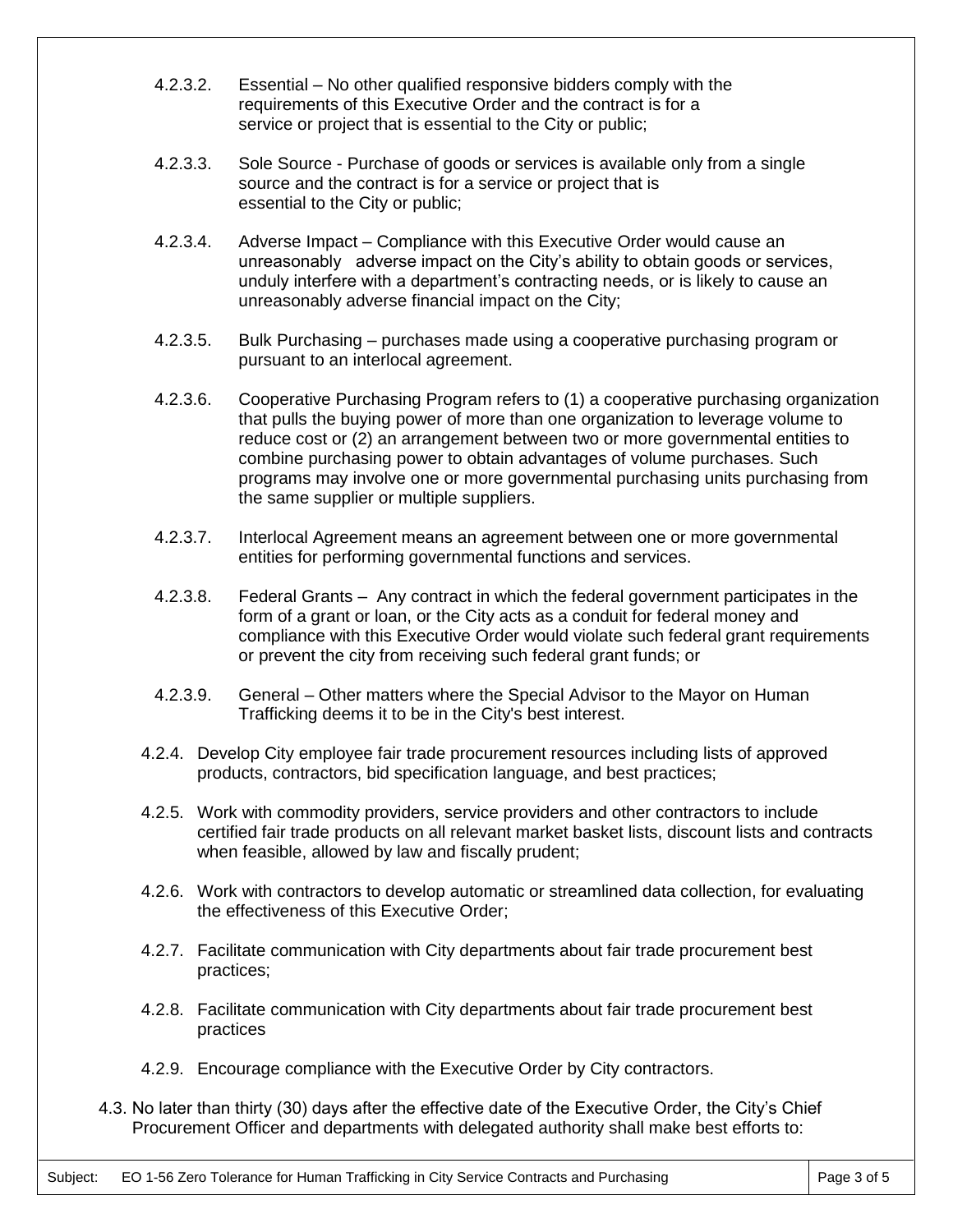- 4.2.3.2. Essential No other qualified responsive bidders comply with the requirements of this Executive Order and the contract is for a service or project that is essential to the City or public;
- 4.2.3.3. Sole Source Purchase of goods or services is available only from a single source and the contract is for a service or project that is essential to the City or public;
- 4.2.3.4. Adverse Impact Compliance with this Executive Order would cause an unreasonably adverse impact on the City's ability to obtain goods or services, unduly interfere with a department's contracting needs, or is likely to cause an unreasonably adverse financial impact on the City;
- 4.2.3.5. Bulk Purchasing purchases made using a cooperative purchasing program or pursuant to an interlocal agreement.
- 4.2.3.6. Cooperative Purchasing Program refers to (1) a cooperative purchasing organization that pulls the buying power of more than one organization to leverage volume to reduce cost or (2) an arrangement between two or more governmental entities to combine purchasing power to obtain advantages of volume purchases. Such programs may involve one or more governmental purchasing units purchasing from the same supplier or multiple suppliers.
- 4.2.3.7. Interlocal Agreement means an agreement between one or more governmental entities for performing governmental functions and services.
- 4.2.3.8. Federal Grants Any contract in which the federal government participates in the form of a grant or loan, or the City acts as a conduit for federal money and compliance with this Executive Order would violate such federal grant requirements or prevent the city from receiving such federal grant funds; or
- 4.2.3.9. General Other matters where the Special Advisor to the Mayor on Human Trafficking deems it to be in the City's best interest.
- 4.2.4. Develop City employee fair trade procurement resources including lists of approved products, contractors, bid specification language, and best practices;
- 4.2.5. Work with commodity providers, service providers and other contractors to include certified fair trade products on all relevant market basket lists, discount lists and contracts when feasible, allowed by law and fiscally prudent;
- 4.2.6. Work with contractors to develop automatic or streamlined data collection, for evaluating the effectiveness of this Executive Order;
- 4.2.7. Facilitate communication with City departments about fair trade procurement best practices;
- 4.2.8. Facilitate communication with City departments about fair trade procurement best practices
- 4.2.9. Encourage compliance with the Executive Order by City contractors.
- 4.3. No later than thirty (30) days after the effective date of the Executive Order, the City's Chief Procurement Officer and departments with delegated authority shall make best efforts to: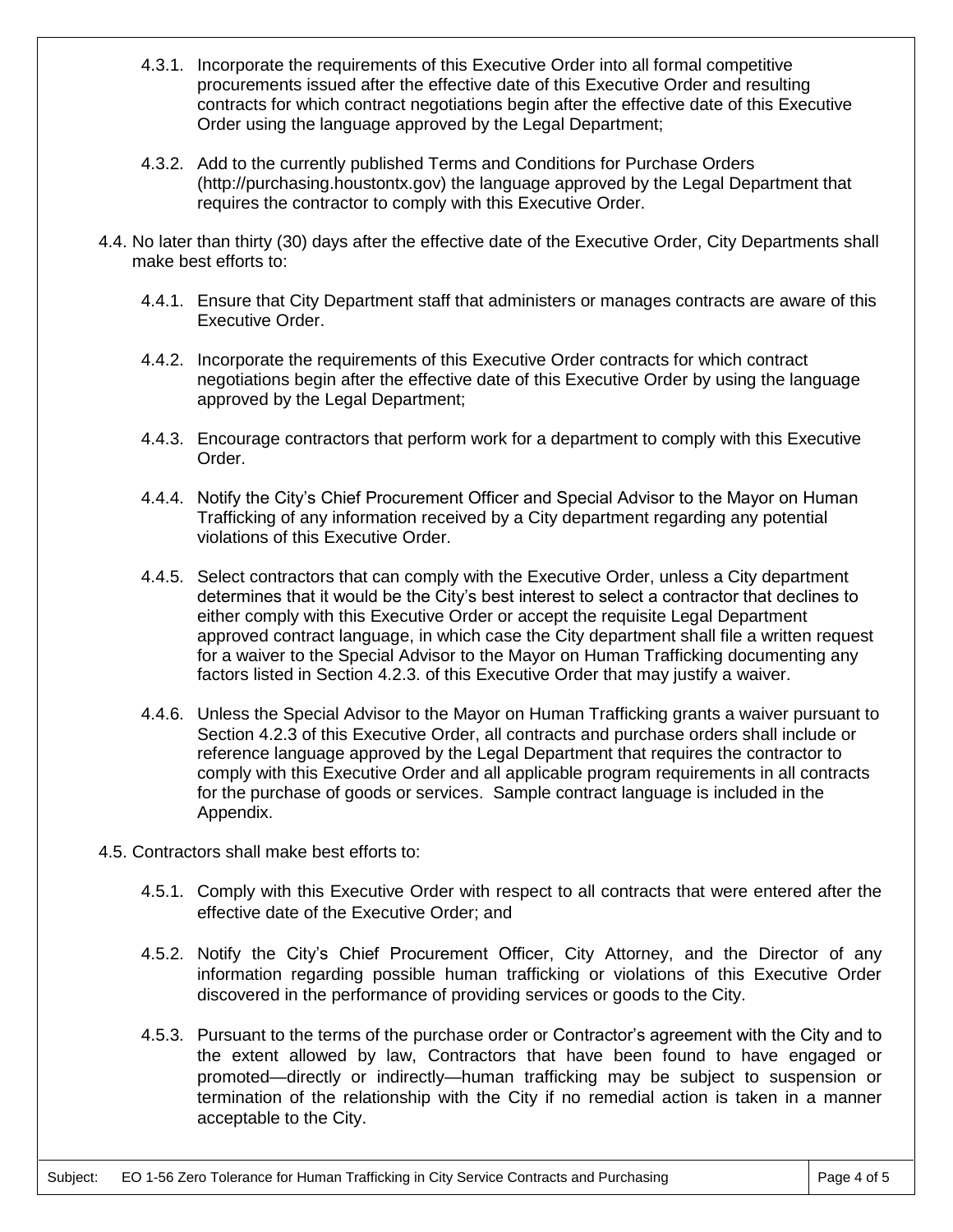- 4.3.1. Incorporate the requirements of this Executive Order into all formal competitive procurements issued after the effective date of this Executive Order and resulting contracts for which contract negotiations begin after the effective date of this Executive Order using the language approved by the Legal Department;
- 4.3.2. Add to the currently published Terms and Conditions for Purchase Orders (http://purchasing.houstontx.gov) the language approved by the Legal Department that requires the contractor to comply with this Executive Order.
- 4.4. No later than thirty (30) days after the effective date of the Executive Order, City Departments shall make best efforts to:
	- 4.4.1. Ensure that City Department staff that administers or manages contracts are aware of this Executive Order.
	- 4.4.2. Incorporate the requirements of this Executive Order contracts for which contract negotiations begin after the effective date of this Executive Order by using the language approved by the Legal Department;
	- 4.4.3. Encourage contractors that perform work for a department to comply with this Executive Order.
	- 4.4.4. Notify the City's Chief Procurement Officer and Special Advisor to the Mayor on Human Trafficking of any information received by a City department regarding any potential violations of this Executive Order.
	- 4.4.5. Select contractors that can comply with the Executive Order, unless a City department determines that it would be the City's best interest to select a contractor that declines to either comply with this Executive Order or accept the requisite Legal Department approved contract language, in which case the City department shall file a written request for a waiver to the Special Advisor to the Mayor on Human Trafficking documenting any factors listed in Section 4.2.3. of this Executive Order that may justify a waiver.
	- 4.4.6. Unless the Special Advisor to the Mayor on Human Trafficking grants a waiver pursuant to Section 4.2.3 of this Executive Order, all contracts and purchase orders shall include or reference language approved by the Legal Department that requires the contractor to comply with this Executive Order and all applicable program requirements in all contracts for the purchase of goods or services. Sample contract language is included in the Appendix.
- 4.5. Contractors shall make best efforts to:
	- 4.5.1. Comply with this Executive Order with respect to all contracts that were entered after the effective date of the Executive Order; and
	- 4.5.2. Notify the City's Chief Procurement Officer, City Attorney, and the Director of any information regarding possible human trafficking or violations of this Executive Order discovered in the performance of providing services or goods to the City.
	- 4.5.3. Pursuant to the terms of the purchase order or Contractor's agreement with the City and to the extent allowed by law, Contractors that have been found to have engaged or promoted—directly or indirectly—human trafficking may be subject to suspension or termination of the relationship with the City if no remedial action is taken in a manner acceptable to the City.